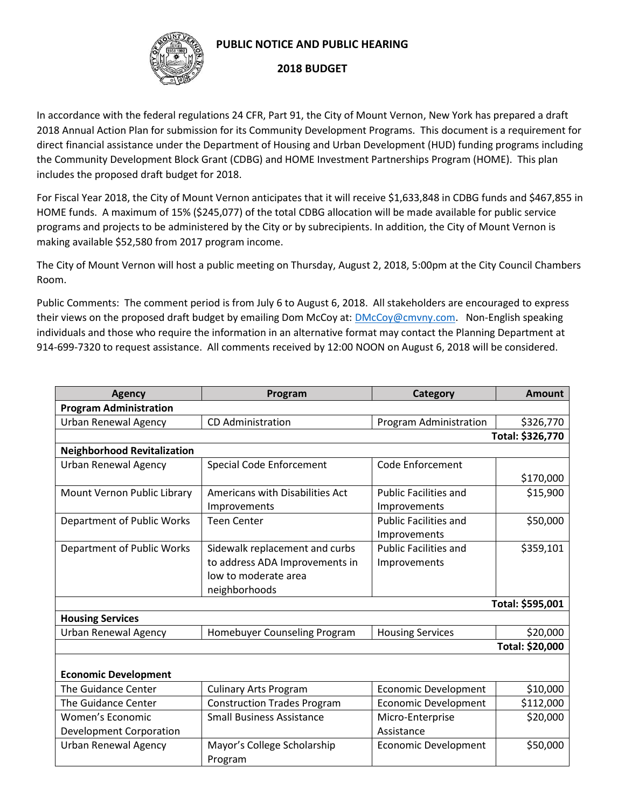

## **PUBLIC NOTICE AND PUBLIC HEARING**

## **2018 BUDGET**

In accordance with the federal regulations 24 CFR, Part 91, the City of Mount Vernon, New York has prepared a draft 2018 Annual Action Plan for submission for its Community Development Programs. This document is a requirement for direct financial assistance under the Department of Housing and Urban Development (HUD) funding programs including the Community Development Block Grant (CDBG) and HOME Investment Partnerships Program (HOME). This plan includes the proposed draft budget for 2018.

For Fiscal Year 2018, the City of Mount Vernon anticipates that it will receive \$1,633,848 in CDBG funds and \$467,855 in HOME funds. A maximum of 15% (\$245,077) of the total CDBG allocation will be made available for public service programs and projects to be administered by the City or by subrecipients. In addition, the City of Mount Vernon is making available \$52,580 from 2017 program income.

The City of Mount Vernon will host a public meeting on Thursday, August 2, 2018, 5:00pm at the City Council Chambers Room.

Public Comments: The comment period is from July 6 to August 6, 2018. All stakeholders are encouraged to express their views on the proposed draft budget by emailing Dom McCoy at[: DMcCoy@cmvny.com.](mailto:DMcCoy@cmvny.com) Non-English speaking individuals and those who require the information in an alternative format may contact the Planning Department at 914-699-7320 to request assistance. All comments received by 12:00 NOON on August 6, 2018 will be considered.

| <b>Agency</b>                      | Program                            | <b>Category</b>              | <b>Amount</b>    |  |
|------------------------------------|------------------------------------|------------------------------|------------------|--|
| <b>Program Administration</b>      |                                    |                              |                  |  |
| <b>Urban Renewal Agency</b>        | <b>CD</b> Administration           | Program Administration       | \$326,770        |  |
|                                    |                                    |                              | Total: \$326,770 |  |
| <b>Neighborhood Revitalization</b> |                                    |                              |                  |  |
| <b>Urban Renewal Agency</b>        | <b>Special Code Enforcement</b>    | Code Enforcement             |                  |  |
|                                    |                                    |                              | \$170,000        |  |
| Mount Vernon Public Library        | Americans with Disabilities Act    | <b>Public Facilities and</b> | \$15,900         |  |
|                                    | Improvements                       | Improvements                 |                  |  |
| Department of Public Works         | <b>Teen Center</b>                 | <b>Public Facilities and</b> | \$50,000         |  |
|                                    |                                    | Improvements                 |                  |  |
| Department of Public Works         | Sidewalk replacement and curbs     | <b>Public Facilities and</b> | \$359,101        |  |
|                                    | to address ADA Improvements in     | Improvements                 |                  |  |
|                                    | low to moderate area               |                              |                  |  |
|                                    | neighborhoods                      |                              |                  |  |
| Total: \$595,001                   |                                    |                              |                  |  |
| <b>Housing Services</b>            |                                    |                              |                  |  |
| <b>Urban Renewal Agency</b>        | Homebuyer Counseling Program       | <b>Housing Services</b>      | \$20,000         |  |
|                                    |                                    |                              | Total: \$20,000  |  |
|                                    |                                    |                              |                  |  |
| <b>Economic Development</b>        |                                    |                              |                  |  |
| The Guidance Center                | <b>Culinary Arts Program</b>       | <b>Economic Development</b>  | \$10,000         |  |
| The Guidance Center                | <b>Construction Trades Program</b> | <b>Economic Development</b>  | \$112,000        |  |
| Women's Economic                   | <b>Small Business Assistance</b>   | Micro-Enterprise             | \$20,000         |  |
| <b>Development Corporation</b>     |                                    | Assistance                   |                  |  |
| <b>Urban Renewal Agency</b>        | Mayor's College Scholarship        | <b>Economic Development</b>  | \$50,000         |  |
|                                    | Program                            |                              |                  |  |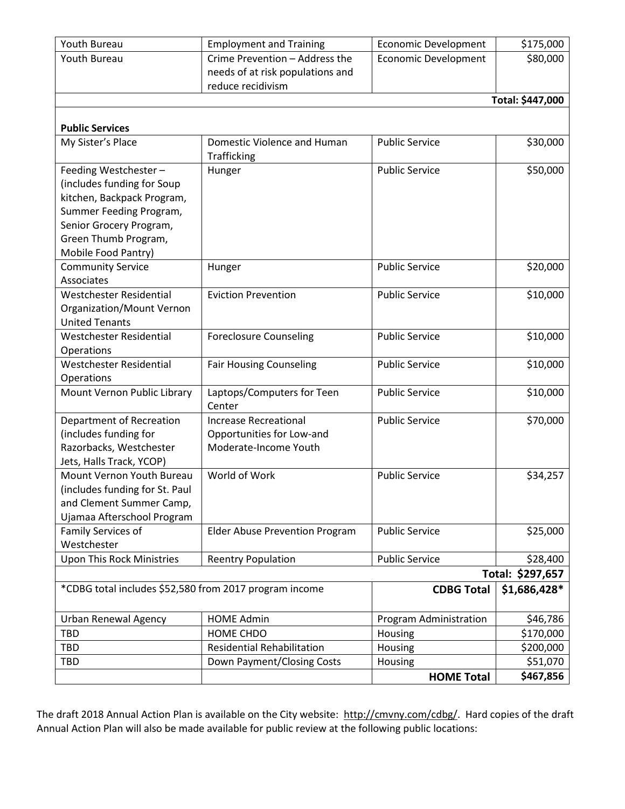| Youth Bureau                                           | <b>Employment and Training</b>        | <b>Economic Development</b> | \$175,000        |
|--------------------------------------------------------|---------------------------------------|-----------------------------|------------------|
| Youth Bureau                                           | Crime Prevention - Address the        | <b>Economic Development</b> | \$80,000         |
|                                                        | needs of at risk populations and      |                             |                  |
|                                                        | reduce recidivism                     |                             |                  |
|                                                        |                                       |                             | Total: \$447,000 |
|                                                        |                                       |                             |                  |
| <b>Public Services</b>                                 |                                       |                             |                  |
| My Sister's Place                                      | Domestic Violence and Human           | <b>Public Service</b>       | \$30,000         |
|                                                        | Trafficking                           |                             |                  |
| Feeding Westchester-                                   | Hunger                                | <b>Public Service</b>       | \$50,000         |
| (includes funding for Soup                             |                                       |                             |                  |
| kitchen, Backpack Program,                             |                                       |                             |                  |
| Summer Feeding Program,                                |                                       |                             |                  |
| Senior Grocery Program,                                |                                       |                             |                  |
| Green Thumb Program,                                   |                                       |                             |                  |
| Mobile Food Pantry)                                    |                                       |                             |                  |
| <b>Community Service</b>                               | Hunger                                | <b>Public Service</b>       | \$20,000         |
| Associates                                             |                                       |                             |                  |
| <b>Westchester Residential</b>                         | <b>Eviction Prevention</b>            | <b>Public Service</b>       | \$10,000         |
| Organization/Mount Vernon                              |                                       |                             |                  |
| <b>United Tenants</b>                                  |                                       |                             |                  |
| Westchester Residential                                | <b>Foreclosure Counseling</b>         | <b>Public Service</b>       | \$10,000         |
| Operations<br><b>Westchester Residential</b>           |                                       | <b>Public Service</b>       | \$10,000         |
|                                                        | <b>Fair Housing Counseling</b>        |                             |                  |
| Operations<br>Mount Vernon Public Library              | Laptops/Computers for Teen            | <b>Public Service</b>       | \$10,000         |
|                                                        | Center                                |                             |                  |
| Department of Recreation                               | <b>Increase Recreational</b>          | <b>Public Service</b>       | \$70,000         |
| (includes funding for                                  | Opportunities for Low-and             |                             |                  |
| Razorbacks, Westchester                                | Moderate-Income Youth                 |                             |                  |
| Jets, Halls Track, YCOP)                               |                                       |                             |                  |
| Mount Vernon Youth Bureau                              | World of Work                         | <b>Public Service</b>       | \$34,257         |
| (includes funding for St. Paul                         |                                       |                             |                  |
| and Clement Summer Camp,                               |                                       |                             |                  |
| Ujamaa Afterschool Program                             |                                       |                             |                  |
| Family Services of                                     | <b>Elder Abuse Prevention Program</b> | <b>Public Service</b>       | \$25,000         |
| Westchester                                            |                                       |                             |                  |
| Upon This Rock Ministries                              | <b>Reentry Population</b>             | <b>Public Service</b>       | \$28,400         |
|                                                        |                                       |                             | Total: \$297,657 |
| *CDBG total includes \$52,580 from 2017 program income |                                       | <b>CDBG Total</b>           | \$1,686,428*     |
| <b>Urban Renewal Agency</b>                            | <b>HOME Admin</b>                     | Program Administration      | \$46,786         |
| <b>TBD</b>                                             | HOME CHDO                             | Housing                     | \$170,000        |
| <b>TBD</b>                                             | <b>Residential Rehabilitation</b>     | Housing                     | \$200,000        |
| <b>TBD</b>                                             | Down Payment/Closing Costs            | Housing                     | \$51,070         |
|                                                        |                                       | <b>HOME Total</b>           | \$467,856        |
|                                                        |                                       |                             |                  |

The draft 2018 Annual Action Plan is available on the City website: [http://cmvny.com/cdbg/.](http://cmvny.com/cdbg/) Hard copies of the draft Annual Action Plan will also be made available for public review at the following public locations: